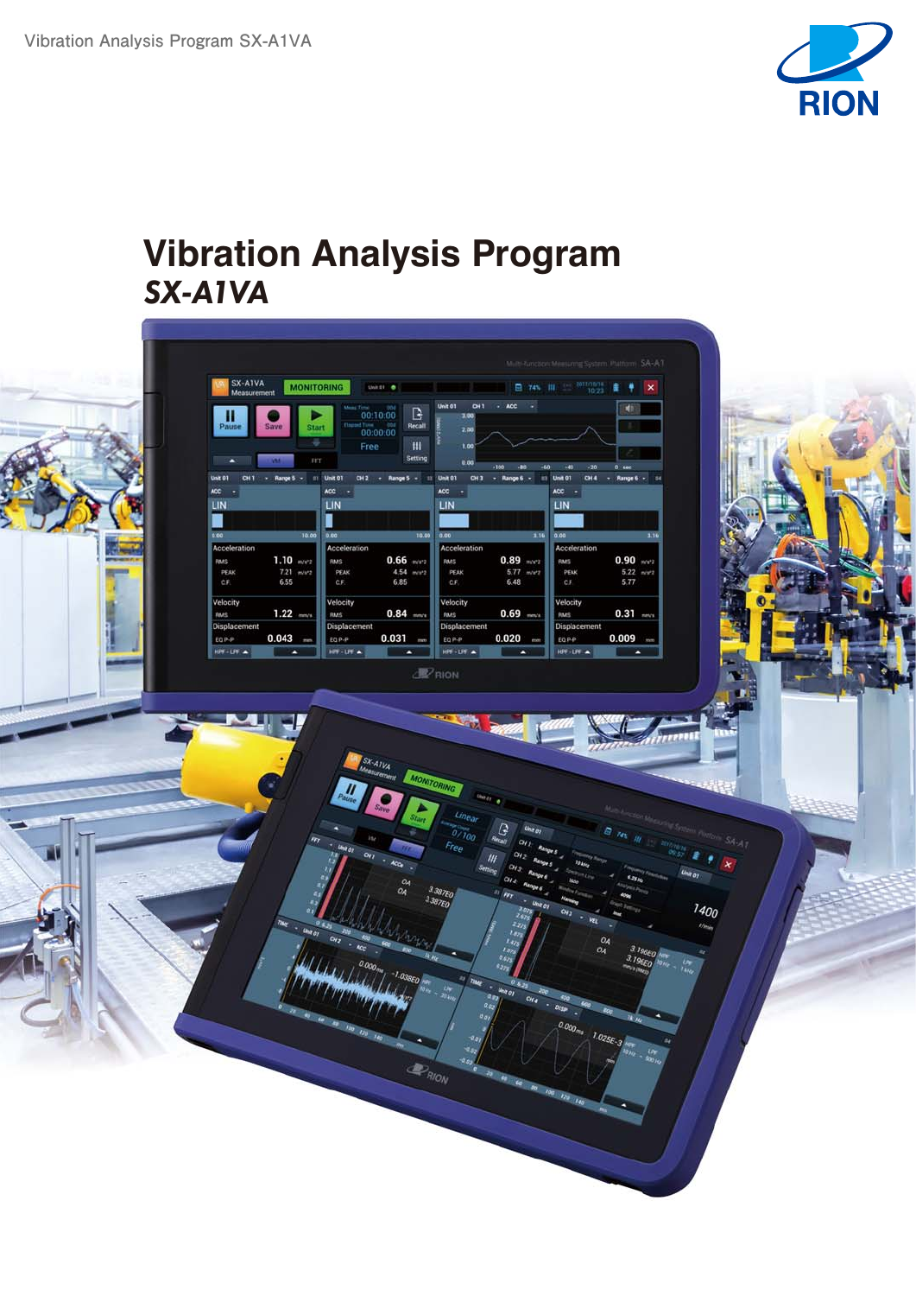

# **Vibration Analysis Program** *SX-A1VA*

| Milth-function: Meesuring System: Platform: SA-AT<br>日本川 1021年<br><b>MONITORING</b><br>Unit of 18<br>Measurement<br><b>Unit 01</b><br>DH1 - ACC -<br>00:10:00<br><b>ME</b><br>$\mathbb{B}$<br>100<br>media 00:00:00<br>Recall<br><b>Start</b><br>Save<br>2.00<br>÷<br>M<br>Free<br>1.00<br>Setting<br>FFT<br>0.00<br>$-100$<br>0.106<br>-80<br>$-20$<br>-40<br>- Range 5 - 11 Unit 01<br>CH2 - Range 5 - 11 Unit 01<br>CH3 - Range 6 -<br><b>E1 Unit 01</b><br>CH4 - Range 6 - St<br>ACC -<br>$ACC = +$<br>ACC<br>$\sim$<br>LIN<br>LIN<br>LIN<br>ı<br>10.00 0.00<br>0.00<br>10.00<br>1.16<br>0.00<br>Acceleration<br>Acceleration<br>Acceleration<br>$1.10$ m/s <sup>2</sup> 2<br>$0.66$ m/s <sup>2</sup><br>$0.89$ m/s <sup>-2</sup><br>$0.90$ m/s <sup>2</sup> 2<br><b>RMS</b><br><b>RMS</b><br>RMS<br>7.21 m/v2<br>4.54 mers<br>$5.77$ m/m <sub>7</sub><br>PEAK<br>PEAK<br>PEAK<br>6.85<br>6.55<br>6.48<br>5.77<br>CF.<br>CF.<br>CF.<br>Velocity<br>Velocity<br>Velocity<br>$1.22$ mm/s<br>$0.84$ mmmm<br>$0.69$ =<br>$0.31$ mevs<br>RMS<br>Raus<br>RMS<br>Displacement<br>Displacement<br>Displacement<br>$0.043$ =<br>$0.031$ mm<br>$0.020$ $-$<br>$0.009$ =<br>EQ P-P<br>EQ P-P<br>EQP-P<br><b>HPF-LPF A</b><br>$HPF - LPF$<br>HPF-UPF A<br>۰<br>$\bullet$<br>٠<br>$\mathbb{Z}$ RION<br>SKAIVA SIONICHING<br><b>Charles</b><br>Linear<br>0/100<br>ine or<br><b>B 74% IN 100 2010</b><br>Free<br><b>Line of</b><br>$\alpha_{ij}$<br>40a<br>O <sub>A</sub><br>3.38750<br>OA.<br>$_{\rm r}$<br>3.387EO<br>×.<br>$\omega_{\rm M}$<br>$C_{12}$ - ACC<br>$O_4$<br>$t_{42}$<br>$O_{\mathcal{A}}$<br>$l_{E2}$<br>840<br>$0.000_{mg}$<br>82.1<br>$-1.038E0$<br>$-$ WHOI CHO $-0$ |
|-------------------------------------------------------------------------------------------------------------------------------------------------------------------------------------------------------------------------------------------------------------------------------------------------------------------------------------------------------------------------------------------------------------------------------------------------------------------------------------------------------------------------------------------------------------------------------------------------------------------------------------------------------------------------------------------------------------------------------------------------------------------------------------------------------------------------------------------------------------------------------------------------------------------------------------------------------------------------------------------------------------------------------------------------------------------------------------------------------------------------------------------------------------------------------------------------------------------------------------------------------------------------------------------------------------------------------------------------------------------------------------------------------------------------------------------------------------------------------------------------------------------------------------------------------------------------------------------------------------------------------------------------------------------------------|
|                                                                                                                                                                                                                                                                                                                                                                                                                                                                                                                                                                                                                                                                                                                                                                                                                                                                                                                                                                                                                                                                                                                                                                                                                                                                                                                                                                                                                                                                                                                                                                                                                                                                               |
| $\mathbf{x}$<br>3.19<br>$5.22$ min's<br>Е<br>3.196E0 km<br>3.196EO NON                                                                                                                                                                                                                                                                                                                                                                                                                                                                                                                                                                                                                                                                                                                                                                                                                                                                                                                                                                                                                                                                                                                                                                                                                                                                                                                                                                                                                                                                                                                                                                                                        |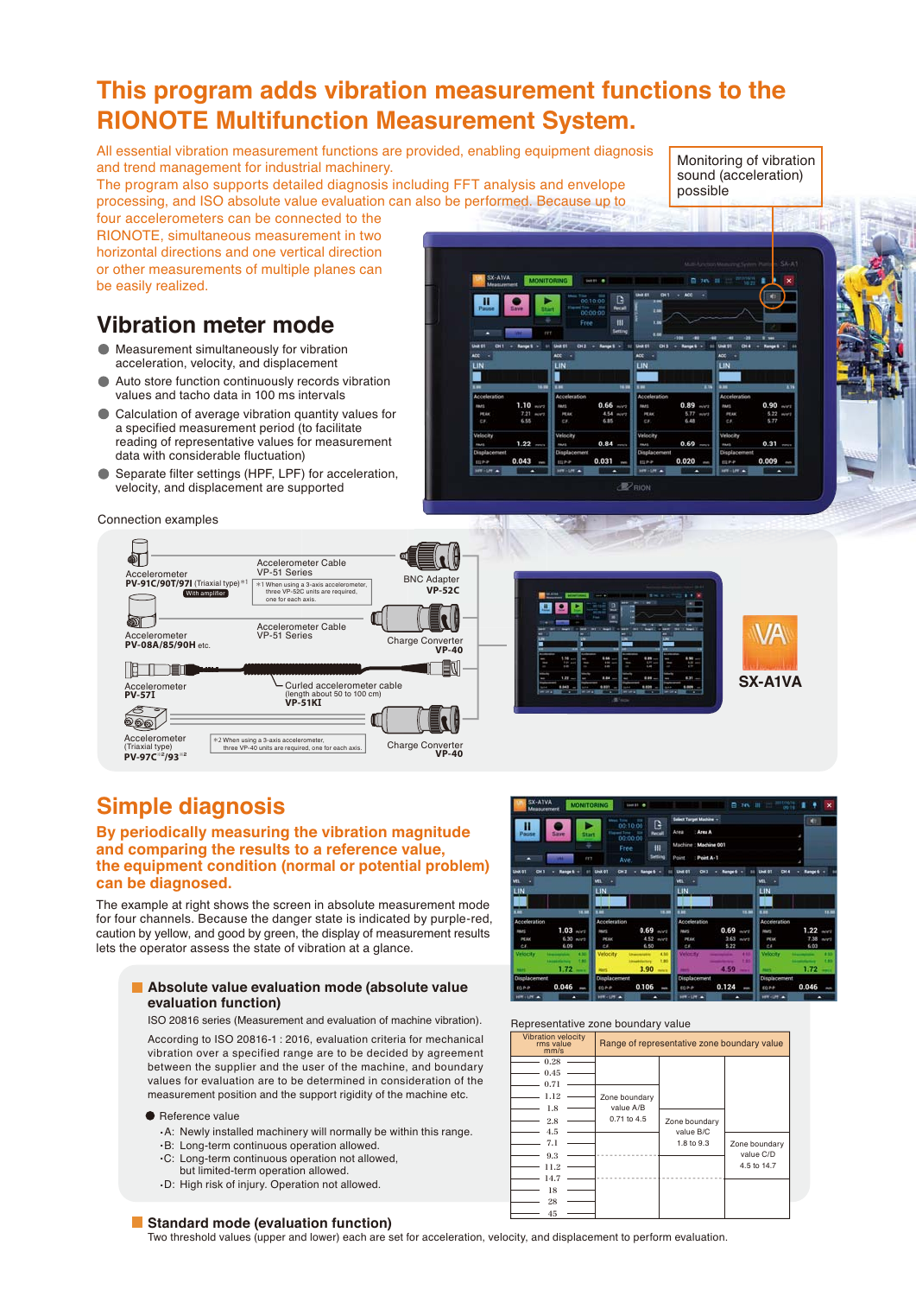- .B: Long-term continuous operation allowed.
	- .C: Long-term continuous operation not allowed,
	-

#### **Standard mode (evaluation function)**

Two threshold values (upper and lower) each are set for acceleration, velocity, and displacement to perform evaluation.

# **This program adds vibration measurement functions to the RIONOTE Multifunction Measurement System.**

All essential vibration measurement functions are provided, enabling equipment diagnosis and trend management for industrial machinery.

The program also supports detailed diagnosis including FFT analysis and envelope processing, and ISO absolute value evaluation can also be performed. Because up to Monitoring of vibration sound (acceleration) possible

 $0.31$ 

 $0.005$ 

four accelerometers can be connected to the RIONOTE, simultaneous measurement in two horizontal directions and one vertical direction or other measurements of multiple planes can be easily realized.

# **Vibration meter mode**

- Measurement simultaneously for vibration acceleration, velocity, and displacement
- Auto store function continuously records vibration values and tacho data in 100 ms intervals
- Calculation of average vibration quantity values for  $\bullet$ a specified measurement period (to facilitate reading of representative values for measurement data with considerable fluctuation)
- Separate filter settings (HPF, LPF) for acceleration, velocity, and displacement are supported

Connection examples



 $1.22$ 

0.043

0.84

n nat

**D**oin

# **Simple diagnosis**

### **By periodically measuring the vibration magnitude and comparing the results to a reference value, the equipment condition (normal or potential problem) can be diagnosed.**

The example at right shows the screen in absolute measurement mode for four channels. Because the danger state is indicated by purple-red, caution by yellow, and good by green, the display of measurement results lets the operator assess the state of vibration at a glance.

### **Absolute value evaluation mode (absolute value evaluation function)**

ISO 20816 series (Measurement and evaluation of machine vibration).

According to ISO 20816-1 : 2016, evaluation criteria for mechanical vibration over a specified range are to be decided by agreement between the supplier and the user of the machine, and boundary values for evaluation are to be determined in consideration of the measurement position and the support rigidity of the machine etc.

### **Reference value**

- .A: Newly installed machinery will normally be within this range.
- 
- but limited-term operation allowed.
- .D: High risk of injury. Operation not allowed.



n sa

0.020

Representative zone boundary value Vibration velocity<br>rms value<br>Range of representative zone boundary value

0.106

0.046

0.124

0.046

| mm/s                                                                                              |                                           |                                          |                                           |
|---------------------------------------------------------------------------------------------------|-------------------------------------------|------------------------------------------|-------------------------------------------|
| 0.28<br>0.45<br>0.71<br>1.12<br>1.8<br>2.8<br>4.5<br>7.1<br>9.3<br>11.2<br>14.7<br>18<br>28<br>45 | Zone boundary<br>value A/B<br>0.71 to 4.5 | Zone boundary<br>value B/C<br>1.8 to 9.3 | Zone boundary<br>value C/D<br>4.5 to 14.7 |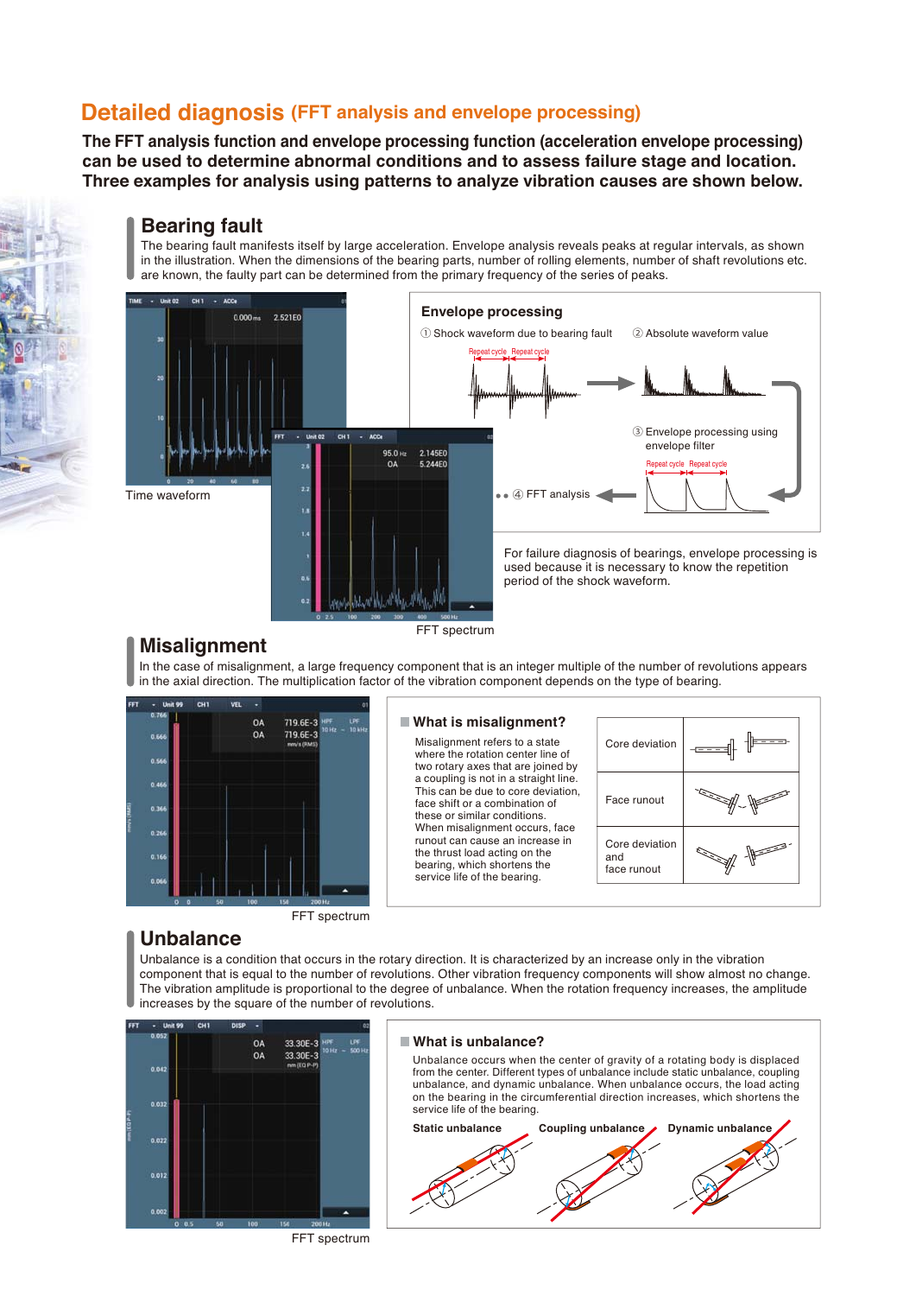# **Detailed diagnosis (FFT analysis and envelope processing)**

**The FFT analysis function and envelope processing function (acceleration envelope processing) can be used to determine abnormal conditions and to assess failure stage and location. Three examples for analysis using patterns to analyze vibration causes are shown below.**

## **Bearing fault**

The bearing fault manifests itself by large acceleration. Envelope analysis reveals peaks at regular intervals, as shown in the illustration. When the dimensions of the bearing parts, number of rolling elements, number of shaft revolutions etc. are known, the faulty part can be determined from the primary frequency of the series of peaks.



# **Misalignment**

FFT spectrum

In the case of misalignment, a large frequency component that is an integer multiple of the number of revolutions appears in the axial direction. The multiplication factor of the vibration component depends on the type of bearing.



#### **What is misalignment?**

Misalignment refers to a state where the rotation center line of two rotary axes that are joined by a coupling is not in a straight line. This can be due to core deviation, face shift or a combination of these or similar conditions. When misalignment occurs, face runout can cause an increase in the thrust load acting on the bearing, which shortens the service life of the bearing.



### FFT spectrum

# **Unbalance**

Unbalance is a condition that occurs in the rotary direction. It is characterized by an increase only in the vibration component that is equal to the number of revolutions. Other vibration frequency components will show almost no change. The vibration amplitude is proportional to the degree of unbalance. When the rotation frequency increases, the amplitude increases by the square of the number of revolutions.



### **What is unbalance?**

Unbalance occurs when the center of gravity of a rotating body is displaced from the center. Different types of unbalance include static unbalance, coupling unbalance, and dynamic unbalance. When unbalance occurs, the load acting on the bearing in the circumferential direction increases, which shortens the service life of the bearing.



FFT spectrum